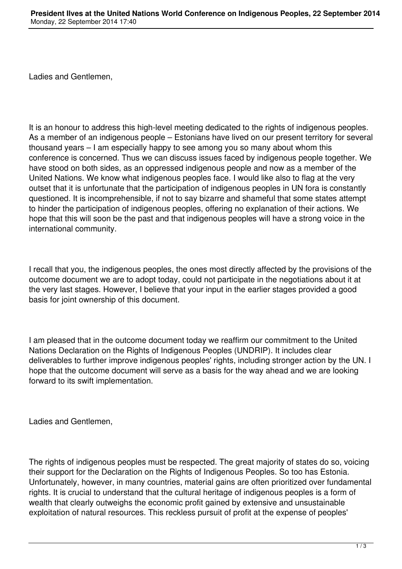Ladies and Gentlemen,

It is an honour to address this high-level meeting dedicated to the rights of indigenous peoples. As a member of an indigenous people – Estonians have lived on our present territory for several thousand years – I am especially happy to see among you so many about whom this conference is concerned. Thus we can discuss issues faced by indigenous people together. We have stood on both sides, as an oppressed indigenous people and now as a member of the United Nations. We know what indigenous peoples face. I would like also to flag at the very outset that it is unfortunate that the participation of indigenous peoples in UN fora is constantly questioned. It is incomprehensible, if not to say bizarre and shameful that some states attempt to hinder the participation of indigenous peoples, offering no explanation of their actions. We hope that this will soon be the past and that indigenous peoples will have a strong voice in the international community.

I recall that you, the indigenous peoples, the ones most directly affected by the provisions of the outcome document we are to adopt today, could not participate in the negotiations about it at the very last stages. However, I believe that your input in the earlier stages provided a good basis for joint ownership of this document.

I am pleased that in the outcome document today we reaffirm our commitment to the United Nations Declaration on the Rights of Indigenous Peoples (UNDRIP). It includes clear deliverables to further improve indigenous peoples' rights, including stronger action by the UN. I hope that the outcome document will serve as a basis for the way ahead and we are looking forward to its swift implementation.

Ladies and Gentlemen,

The rights of indigenous peoples must be respected. The great majority of states do so, voicing their support for the Declaration on the Rights of Indigenous Peoples. So too has Estonia. Unfortunately, however, in many countries, material gains are often prioritized over fundamental rights. It is crucial to understand that the cultural heritage of indigenous peoples is a form of wealth that clearly outweighs the economic profit gained by extensive and unsustainable exploitation of natural resources. This reckless pursuit of profit at the expense of peoples'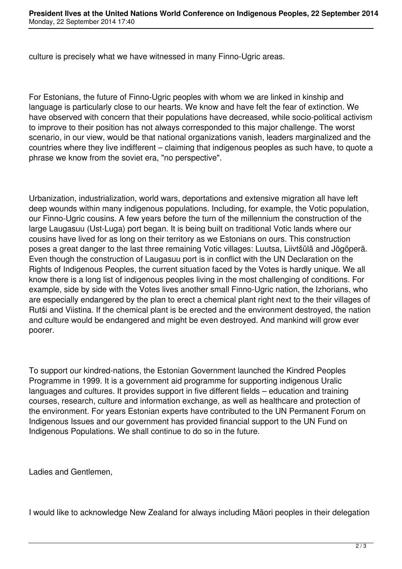culture is precisely what we have witnessed in many Finno-Ugric areas.

For Estonians, the future of Finno-Ugric peoples with whom we are linked in kinship and language is particularly close to our hearts. We know and have felt the fear of extinction. We have observed with concern that their populations have decreased, while socio-political activism to improve to their position has not always corresponded to this major challenge. The worst scenario, in our view, would be that national organizations vanish, leaders marginalized and the countries where they live indifferent – claiming that indigenous peoples as such have, to quote a phrase we know from the soviet era, "no perspective".

Urbanization, industrialization, world wars, deportations and extensive migration all have left deep wounds within many indigenous populations. Including, for example, the Votic population, our Finno-Ugric cousins. A few years before the turn of the millennium the construction of the large Laugasuu (Ust-Luga) port began. It is being built on traditional Votic lands where our cousins have lived for as long on their territory as we Estonians on ours. This construction poses a great danger to the last three remaining Votic villages: Luutsa, Liivtšülä and Jõgõperä. Even though the construction of Laugasuu port is in conflict with the UN Declaration on the Rights of Indigenous Peoples, the current situation faced by the Votes is hardly unique. We all know there is a long list of indigenous peoples living in the most challenging of conditions. For example, side by side with the Votes lives another small Finno-Ugric nation, the Izhorians, who are especially endangered by the plan to erect a chemical plant right next to the their villages of Rutši and Viistina. If the chemical plant is be erected and the environment destroyed, the nation and culture would be endangered and might be even destroyed. And mankind will grow ever poorer.

To support our kindred-nations, the Estonian Government launched the Kindred Peoples Programme in 1999. It is a government aid programme for supporting indigenous Uralic languages and cultures. It provides support in five different fields – education and training courses, research, culture and information exchange, as well as healthcare and protection of the environment. For years Estonian experts have contributed to the UN Permanent Forum on Indigenous Issues and our government has provided financial support to the UN Fund on Indigenous Populations. We shall continue to do so in the future.

Ladies and Gentlemen,

I would like to acknowledge New Zealand for always including Māori peoples in their delegation